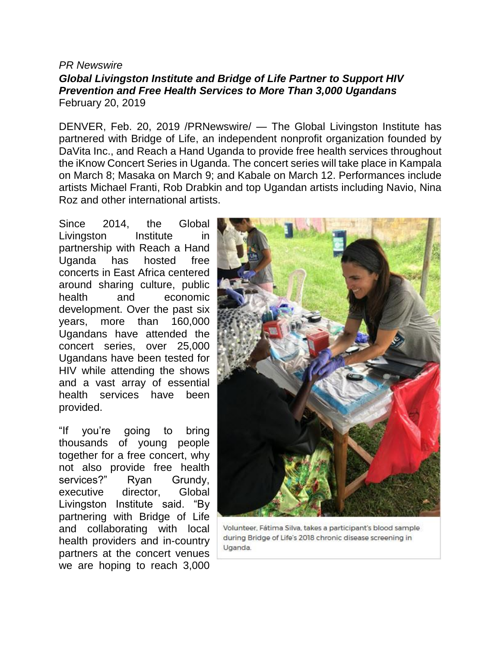### *PR Newswire Global Livingston Institute and Bridge of Life Partner to Support HIV Prevention and Free Health Services to More Than 3,000 Ugandans* February 20, 2019

DENVER, Feb. 20, 2019 /PRNewswire/ — The Global Livingston Institute has partnered with Bridge of Life, an independent nonprofit organization founded by DaVita Inc., and Reach a Hand Uganda to provide free health services throughout the iKnow Concert Series in Uganda. The concert series will take place in Kampala on March 8; Masaka on March 9; and Kabale on March 12. Performances include artists Michael Franti, Rob Drabkin and top Ugandan artists including Navio, Nina Roz and other international artists.

Since 2014, the Global Livingston Institute in partnership with Reach a Hand Uganda has hosted free concerts in East Africa centered around sharing culture, public health and economic development. Over the past six years, more than 160,000 Ugandans have attended the concert series, over 25,000 Ugandans have been tested for HIV while attending the shows and a vast array of essential health services have been provided.

"If you're going to bring thousands of young people together for a free concert, why not also provide free health services?" Ryan Grundy, executive director, Global Livingston Institute said. "By partnering with Bridge of Life and collaborating with local health providers and in-country partners at the concert venues we are hoping to reach 3,000



Volunteer, Fátima Silva, takes a participant's blood sample during Bridge of Life's 2018 chronic disease screening in Uganda.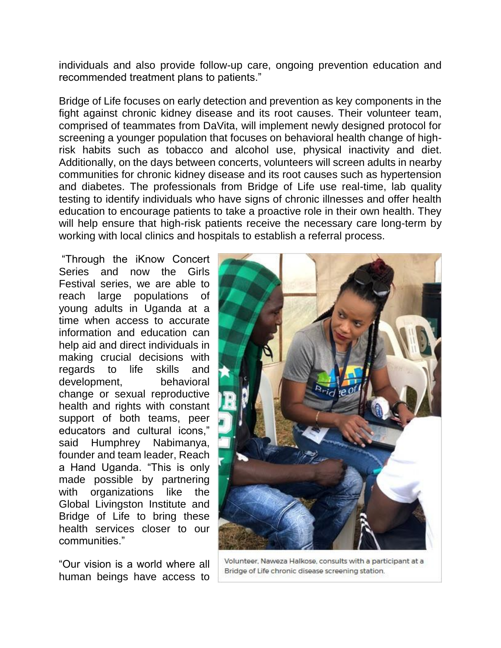individuals and also provide follow-up care, ongoing prevention education and recommended treatment plans to patients."

Bridge of Life focuses on early detection and prevention as key components in the fight against chronic kidney disease and its root causes. Their volunteer team, comprised of teammates from DaVita, will implement newly designed protocol for screening a younger population that focuses on behavioral health change of highrisk habits such as tobacco and alcohol use, physical inactivity and diet. Additionally, on the days between concerts, volunteers will screen adults in nearby communities for chronic kidney disease and its root causes such as hypertension and diabetes. The professionals from Bridge of Life use real-time, lab quality testing to identify individuals who have signs of chronic illnesses and offer health education to encourage patients to take a proactive role in their own health. They will help ensure that high-risk patients receive the necessary care long-term by working with local clinics and hospitals to establish a referral process.

"Through the iKnow Concert Series and now the Girls Festival series, we are able to reach large populations of young adults in Uganda at a time when access to accurate information and education can help aid and direct individuals in making crucial decisions with regards to life skills and development, behavioral change or sexual reproductive health and rights with constant support of both teams, peer educators and cultural icons," said Humphrey Nabimanya, founder and team leader, Reach a Hand Uganda. "This is only made possible by partnering with organizations like the Global Livingston Institute and Bridge of Life to bring these health services closer to our communities."

"Our vision is a world where all human beings have access to



Volunteer, Naweza Halkose, consults with a participant at a Bridge of Life chronic disease screening station.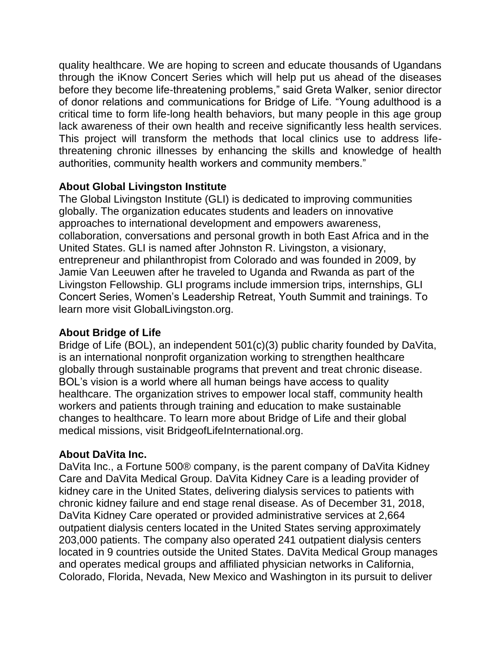quality healthcare. We are hoping to screen and educate thousands of Ugandans through the iKnow Concert Series which will help put us ahead of the diseases before they become life-threatening problems," said Greta Walker, senior director of donor relations and communications for Bridge of Life. "Young adulthood is a critical time to form life-long health behaviors, but many people in this age group lack awareness of their own health and receive significantly less health services. This project will transform the methods that local clinics use to address lifethreatening chronic illnesses by enhancing the skills and knowledge of health authorities, community health workers and community members."

# **About Global Livingston Institute**

The Global Livingston Institute (GLI) is dedicated to improving communities globally. The organization educates students and leaders on innovative approaches to international development and empowers awareness, collaboration, conversations and personal growth in both East Africa and in the United States. GLI is named after Johnston R. Livingston, a visionary, entrepreneur and philanthropist from Colorado and was founded in 2009, by Jamie Van Leeuwen after he traveled to Uganda and Rwanda as part of the Livingston Fellowship. GLI programs include immersion trips, internships, GLI Concert Series, Women's Leadership Retreat, Youth Summit and trainings. To learn more visit GlobalLivingston.org.

# **About Bridge of Life**

Bridge of Life (BOL), an independent 501(c)(3) public charity founded by DaVita, is an international nonprofit organization working to strengthen healthcare globally through sustainable programs that prevent and treat chronic disease. BOL's vision is a world where all human beings have access to quality healthcare. The organization strives to empower local staff, community health workers and patients through training and education to make sustainable changes to healthcare. To learn more about Bridge of Life and their global medical missions, visit BridgeofLifeInternational.org.

# **About DaVita Inc.**

DaVita Inc., a Fortune 500® company, is the parent company of DaVita Kidney Care and DaVita Medical Group. DaVita Kidney Care is a leading provider of kidney care in the United States, delivering dialysis services to patients with chronic kidney failure and end stage renal disease. As of December 31, 2018, DaVita Kidney Care operated or provided administrative services at 2,664 outpatient dialysis centers located in the United States serving approximately 203,000 patients. The company also operated 241 outpatient dialysis centers located in 9 countries outside the United States. DaVita Medical Group manages and operates medical groups and affiliated physician networks in California, Colorado, Florida, Nevada, New Mexico and Washington in its pursuit to deliver